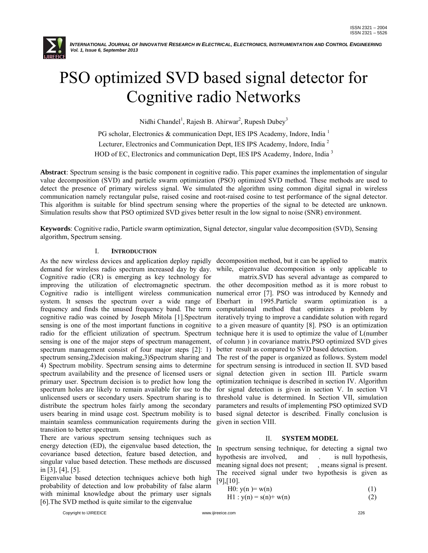

# PSO optimized SVD based signal detector for Cognitive radio Networks d SVD based signal<br>nitive radio Network<br><sub>Chandel</sub>ı<sub>, Rajesh B. Ahirwar<sup>2</sup>, Rupesh Dubey<sup>3</sup></sub>

Nidhi Chandel<sup>1</sup>, Rajesh B. Ahirwar<sup>2</sup>, Rupesh Dubey<sup>3</sup>

PG scholar, Electronics & communication Dept, IES IPS Academy, Indore, India<sup>1</sup> Lecturer, Electronics and Communication Dept, IES IPS Academy, Indore, India<sup>2</sup> HOD of EC, Electronics and communication Dept, IES IPS Academy, Indore, India<sup>3</sup>

Abstract: Spectrum sensing is the basic component in cognitive radio. This paper examines the implementation of singular value decomposition (SVD) and particle swarm optimization (PSO) optimized SVD method. These methods a value decomposition (SVD) and particle swarm optimization (PSO) optimized SVD method. These methods are used to detect the presence of primary wireless signal. We simulated the algorithm using common digital signal communication namely rectangular pulse, raised cosine and root-raised cosine to test performance of the signal detector. This algorithm is suitable for blind spectrum sensing where the properties of the signal to be detected are unknown. Simulation results show that PSO optimized SVD gives better result in the low signal to noise (SNR) environment raised cosine to test performance of the signal<br>e properties of the signal to be detected are u<br>lt in the low signal to noise (SNR) environment.

Keywords: Cognitive radio, Particle swarm optimization, Signal detector, singular value decomposition (SVD), Sensing algorithm, Spectrum sensing.

# I. **INTRODUCTION**

As the new wireless devices and application deploy rapidly decomposition method, but it can be applied to matrix demand for wireless radio spectrum increased day by day. Cognitive radio (CR) is emerging as key technology for improving the utilization of electromagnetic spectrum. the other decomposition method as it is more robust to Cognitive radio is intelligent wireless communication numerical error [7]. PSO was introduced by Kennedy and system. It senses the spectrum over a wide range of Eberhart in 1995. Particle swarm optimization is a frequency and finds the unused frequency band. The term computational method that optimizes a problem by frequency and finds the unused frequency band. The term computational method that optimizes a problem by cognitive radio was coined by Joseph Mitola [1]. Spectrum iteratively trying to improve a candidate solution with regard sensing is one of the most important functions in cognitive to a given measure of quantity [8]. PSO is an optimization radio for the efficient utilization of spectrum. Spectrum technique here it is used to optimize the value of L(number radio for the efficient utilization of spectrum. Spectrum technique here it is used to optimize the value of L(number sensing is one of the major steps of spectrum management, of column ) in covariance matrix.PSO optimized spectrum management consist of four major steps [2]: 1) spectrum management consist of four major steps [2]: 1) spectrum sensing,2)decision making,3)Spectrum sharing and 4) Spectrum mobility. Spectrum sensing aims to determine spectrum availability and the presence of licensed users or spectrum availability and the presence of licensed users or primary user. Spectrum decision is to predict how long the primary user. Spectrum decision is to predict how long the optimization technique is described in section IV. Algorithm<br>spectrum holes are likely to remain available for use to the for signal detection is given in section unlicensed users or secondary users. Spectrum sharing is to distribute the spectrum holes fairly among the secondary distribute the spectrum holes fairly among the secondary parameters and results of implementing PSO optimized SVD users bearing in mind usage cost. Spectrum mobility is to based signal detector is described. Finally conclu maintain seamless communication requirements during the given in section VIII. transition to better spectrum. devices and application deploy rapidly<br>radio spectrum increased day by day.<br>) is emerging as key technology for<br>ration of electromagnetic spectrum.<br>intelligent wireless communication<br>he spectrum over a wide range of wireless devies and pplication dephy rapidly decomposition method, but it can be applied to writely starion of electromagnetic spectrum, the other and population of electromagnetic spectrum, the outlineation of the unitari

There are various spectrum sensing techniques such as energy detection (ED), the eigenvalue based detection, the covariance based detection, feature based detection, and singular value based detection. These methods are discussed in [3], [4], [5]. on (ED), the eigenvalue based detection, the<br>sed detection, feature based detection, and<br>based detection. These methods are discussed

Eigenvalue based detection techniques achieve both high probability of detection and low probability of false alarm with minimal knowledge about the primary user signals [6].The SVD method is quite similar to the eigenvalue

while, eigenvalue decomposition is only applicable to

matrix.SVD has several advantage as compared to better result as compared to SVD based detection. eigenvalue decomposition is only applicable to<br>matrix.SVD has several advantage as compared to<br>er decomposition method as it is more robust to<br>al error [7]. PSO was introduced by Kennedy and

The rest of the paper is organized as follows. System model for spectrum sensing is introduced in section II. SVD based signal detection given in section III. Particle swarm optimization technique is described in section IV. Algorithm threshold value is determined. In Section VII, simulation parameters and results of implementing PSO optimized SVD In spectrum sensing technique, for detecting PSO signal detector is described. Finally conclusion is given in section VIII.<br>
II. SYSTEM MODEL<br>
In spectrum sensing technique, for detecting a signal two result as compared to SVD based detection.<br>
rest of the paper is organized as follows. System model<br>
spectrum sensing is introduced in section II. SVD based<br>
aal detection given in section III. Particle swarm

## II. **SYSTEM MODEL**

hypothesis are involved, and . meaning signal does not present; , means signal is present. The received signal under two hypothesis is given as [9],[10]. is null hypothesis, does not present; , means signal is pressignal under two hypothesis is given  $w(n)$  (1)

$$
H0: y(n) = w(n) \tag{1}
$$

 $H1 : y(n) = s(n) + w(n)$  (2)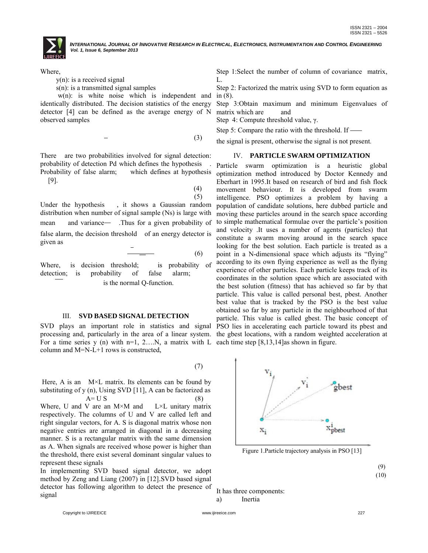

Where,

y(n): is a received signal

s(n): is a transmitted signal samples

 w(n): is white noise which is independent and identically distributed. The decision statistics of the energy<br>detector [4] can be defined as the average energy of N<br>observed samples<br>- (3) detector [4] can be defined as the average energy of N observed samples

There are two probabilities involved for signal detection: probability of detection Pd which defines the hypothesis . Probability of false alarm; which defines at hypothesis [9]. (4) [9].

(5)

Under the hypothesis , it shows a Gaussian random distribution when number of signal sample (Ns) is large with mean and variance— .Thus for a given probability of false alarm, the decision threshold of an energy detector is given as shows a Gaussian random<br>
shows a Gaussian random<br>
is for a given probability<br>
ld of an energy detector<br>
- (6)

Where, is decision threshold; is probability of detection; is probability of false alarm; is the normal Q-function.

#### III. **SVD BASED SIGNAL DETECTION DETECTION**

processing and, particularly in the area of a linear system. the gbest locations, with a random weighted acceleration at For a time series y (n) with n=1, 2...,N, a matrix with L each time step [8,13,14] as shown in figur For a time series y (n) with  $n=1, 2,...N$ , a matrix with L each time step [8,13,14]as shown in figure. column and M=N-L+1 rows is constructed,

Here, A is an  $M \times L$  matrix. Its elements can be found by substituting of y  $(n)$ , Using SVD [11], A can be factorized as  $A=$  U S (8)

Where, U and V are an  $M \times M$  and respectively. The columns of U and V are called left and right singular vectors, for A. S is diagonal matrix whose non negative entries are arranged in diagonal in a decreasing manner. S is a rectangular matrix with the same dimension as A. When signals are received whose power is higher than the threshold, there exist several dominant singular values to represent these signals  $L \times L$  unitary matrix respectively. The columns of U and V are called left and<br>right singular vectors, for A. S is diagonal matrix whose non<br>negative entries are arranged in diagonal in a decreasing<br>manner. S is a rectangular matrix with the sa

In implementing SVD based signal detector, we adopt method by Zeng and Liang (2007) in [12]. SVD based signal method by Zeng and Liang (2007) in [12].SVD based signal detector has following algorithm to detect the presence of signal

Step 1: Select the number of column of covariance matrix, L.

Step 2: Factorized the matrix using SVD to form equation as in (8).

Step 3:Obtain maximum and minimum Eigenvalues of 3:Obtain matrix which are and

Step 4: Compute threshold value, γ.

Step 5: Compare the ratio with the threshold. If

the signal is present, otherwise the signal is not present.

#### IV. **PARTICLE SWARM OPTIMIZATION**

SVD plays an important role in statistics and signal PSO lies in accelerating each particle toward its pbest and Particle swarm optimization is a heuristic global Particle swarm optimization is a heuristic global optimization method introduced by Doctor Kennedy and Eberhart in 1995. It based on research of bird and fish flock movement behaviour. It is developed from swarm movement behaviour. It is developed from swarm<br>intelligence. PSO optimizes a problem by having a population of candidate solutions, here dubbed particle and moving these particles around in the search space according to simple mathematical formulae over the particle's position and velocity .It uses a number of agents (particles) that constitute a swarm moving around in the search space looking for the best solution. Each particle is treated as a point in a N-dimensional space which adjusts its "flying" according to its own flying experience as well as the flying experience of other particles. Each particle keeps track of its coordinates in the solution space which are associated with the best solution (fitness) that has experience of other particles. Each particle keeps track of its coordinates in the solution space which are associated with the best solution (fitness) that has achieved so far by that particle. This value is called personal best, pbest. Another best value that is tracked by the PSO is the best value obtained so far by any particle in the neighbourhood of that particle. This value is called gbest. The basic concept of moving these particles around in the search space according<br>to simple mathematical formulae over the particle's position<br>and velocity .It uses a number of agents (particles) that<br>constitute a swarm moving around in the sea



Figure 1.Particle trajectory analysis in PSO [13]

(10)

It has three components:

a) Inertia

Copyright to IJIREEICE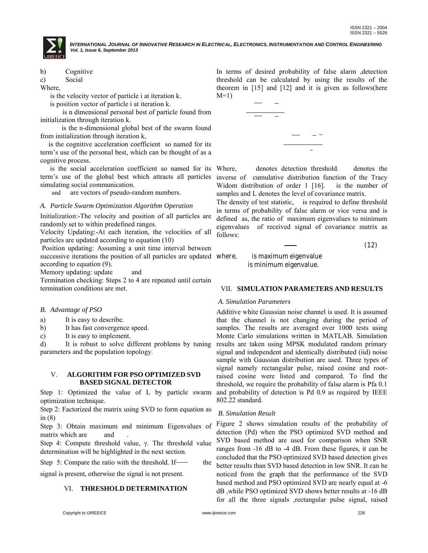b) Cognitive

c) Social

Where,

is the velocity vector of particle i at iteration k.

is position vector of particle i at iteration k.

where the is the term in the sist of particle found from is n dimensional personal best of particle found from initialization through iteration k.

is the n-dimensional global best of the swarm found from initialization through iteration k,

is the cognitive acceleration coefficient so named for its term's use of the personal best, which can be thought of as a cognitive process.

is the social acceleration coefficient so named for its term's use of the global best which attracts all particles simulating social communication. term's use of the personal best, which can be thought of as a cognitive process.<br>
is the social acceleration coefficient so named for its<br>
term's use of the global best which attracts all particles<br>
simulating social commu

and are vectors of pseudo-random numbers

## *A. Particle Swarm Optimization Algorithm Operation*

Initialization:-The velocity and position of all particles are randomly set to within predefined ranges.<br>Velocity Updating:-At each iteration, the velocities of all particles are updated according to equation (10) randomly set to within predefined ranges.

Velocity Updating:-At each iteration, the velocities of all particles are updated according to equation (10

Position updating: Assuming a unit time interval between successive iterations the position of all particles are updated where, according to equation (9).

Memory updating: update and

Termination checking: Steps 2 to 4 are repeated until certain termination conditions are met.

## *B. Advantage of PSO*

- a) It is easy to describe.
- b) It has fast convergence speed.
- c) It is easy to implement.

d) It is robust to solve different problems by tuning parameters and the population topology.

## V. **ALGORITHM FOR PSO OPTIMIZED SVD BASED SIGNAL DETECTOR**

Step 1: Optimized the value of L by particle swarm optimization technique.

Step 2: Factorized the matrix using SVD to form equation as in (8) Optimized the value of L by particle swarm<br>tion technique.<br>actorized the matrix using SVD to form equation as<br>Obtain maximum and minimum Eigenvalues of<br>hich are and .<br>Compute threshold value,  $\gamma$ . The threshold value<br>ati

Step 3: Obtain maximum and minimum Eigenvalues of matrix which are and

Step 4: Compute threshold value, γ. The threshold value determination will be highlighted in the next section.

Step 5: Compare the ratio with the threshold. If

signal is present, otherwise the signal is not present.

# VI. **THRESHOLD DETERMINATION**

In terms of desired probability of false alarm ,detection In terms of desired probability of false alarm , detection threshold can be calculated by using the results of the theorem in [15] and [12] and it is given as follows(here  $M=1$ )



denotes detection threshold. inverse of cumulative distribution function of the Tracy Widom distribution of order 1 [16]. is the number of Widom distribution of order 1 [16]. samples and L denotes the level of covariance matrix.

The density of test statistic, is required to define threshold in terms of probability of false alarm or vice versa and is defined as, the ratio of maximum eigenvalues to minimum eigenvalues of received signal of covariance matrix as follows:

$$
(12)
$$

where, is maximum eigenvalue is minimum eigenvalue.

## VII. **SIMULATION PARAMETERS AND RESULTS**

## *A. Simulation Parameters*

Additive white Gaussian noise channel is used. It is assumed that the channel is not changing during the period of samples. The results are averaged over 1000 tests using Monte Carlo simulations written in MATLAB. Simulation results are taken using MPSK modulated random primary signal and independent and identically distributed (iid) noise sample with Gaussian distribution are used. Three types of signal namely rectangular pulse, raised cosine and rootraised cosine were listed and compared. To find the raised cosine were listed and compared. To find the threshold, we require the probability of false alarm is Pfa 0.1 and probability of detection is Pd 0.9 as required by IEEE 802.22 standard. e Gaussian noise channel is used. It is assumed<br>nnel is not changing during the period of<br>results are averaged over 1000 tests using<br>simulations written in MATLAB. Simulation

# *B. Simulation Result*

Figure 2 shows simulation results of the probability of detection (Pd) when the PSO optimized SVD method and SVD based method are used for comparison when SNR ranges from -16 dB to -4 dB. From these figures, it can be concluded that the PSO optimized SVD based detection gives better results than SVD based detection in low SNR. It can be noticed from the graph that the performance of the SVD based method and PSO optimized SVD are nearly equal at -6 dB ,while PSO optimized SVD shows better results at -16 dB for all the three signals ,rectangular pulse signal, raised method are used for comparison when SNR<br>-16 dB to -4 dB. From these figures, it can be<br>at the PSO optimized SVD based detection gives<br>than SVD based detection in low SNR. It can be<br>the graph that the performance of the SVD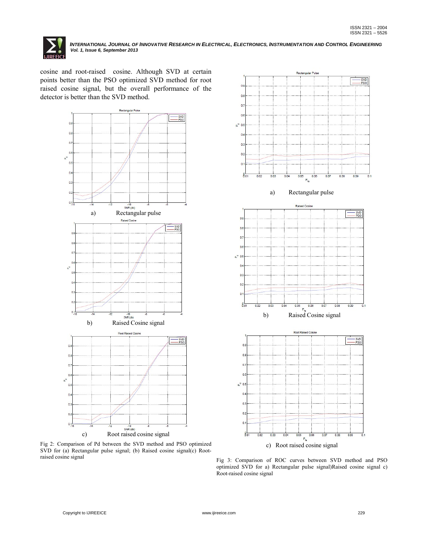

cosine and root-raised cosine. Although SVD at certain points better than the PSO optimized SVD method for root raised cosine signal, but the overall performance of the detector is better than the SVD method.



Fig 2: Comparison of Pd between the SVD method and PSO optimized SVD for (a) Rectangular pulse signal; (b) Raised cosine signal(c) Root raised cosine signal



Fig 3: Comparison of ROC curves between SVD method and PSO optimized SVD for a) Rectangular pulse signal)Raised cosine signal c) Root-raised cosine signal